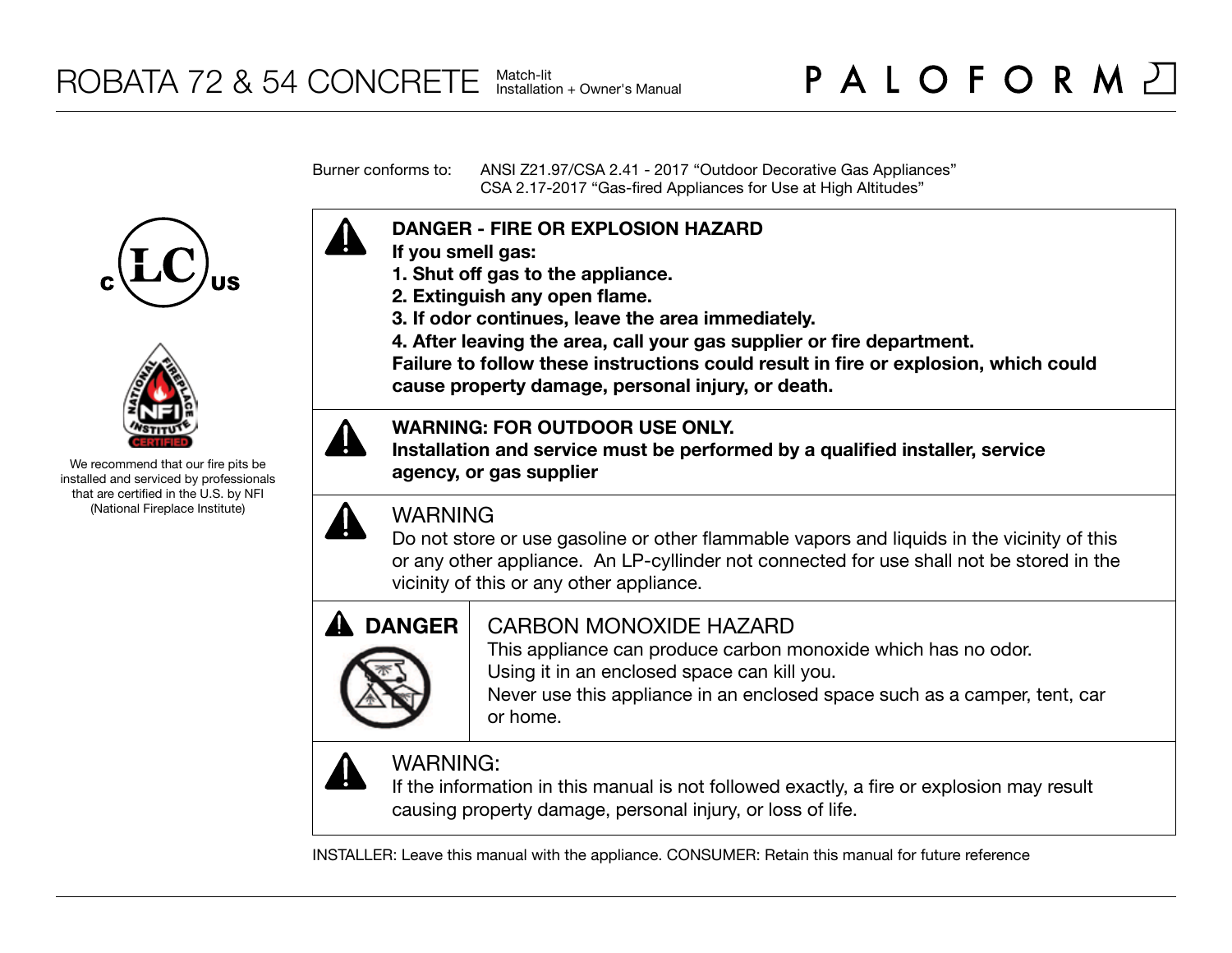Burner conforms to: ANSI Z21.97/CSA 2.41 - 2017 "Outdoor Decorative Gas Appliances" CSA 2.17-2017 "Gas-fired Appliances for Use at High Altitudes"





We recommend that our fire pits be installed and serviced by professionals that are certified in the U.S. by NFI (National Fireplace Institute)



- **If you smell gas:**
- **1. Shut off gas to the appliance.**
- **2. Extinguish any open flame.**
- **3. If odor continues, leave the area immediately.**
- **4. After leaving the area, call your gas supplier or fire department.**

**Failure to follow these instructions could result in fire or explosion, which could cause property damage, personal injury, or death.**

## **WARNING: FOR OUTDOOR USE ONLY.**

**Installation and service must be performed by a qualified installer, service agency, or gas supplier**



## WARNING

Do not store or use gasoline or other flammable vapors and liquids in the vicinity of this or any other appliance. An LP-cyllinder not connected for use shall not be stored in the vicinity of this or any other appliance.



## CARBON MONOXIDE HAZARD

This appliance can produce carbon monoxide which has no odor. Using it in an enclosed space can kill you.

Never use this appliance in an enclosed space such as a camper, tent, car or home.



# WARNING:

If the information in this manual is not followed exactly, a fire or explosion may result causing property damage, personal injury, or loss of life.

INSTALLER: Leave this manual with the appliance. CONSUMER: Retain this manual for future reference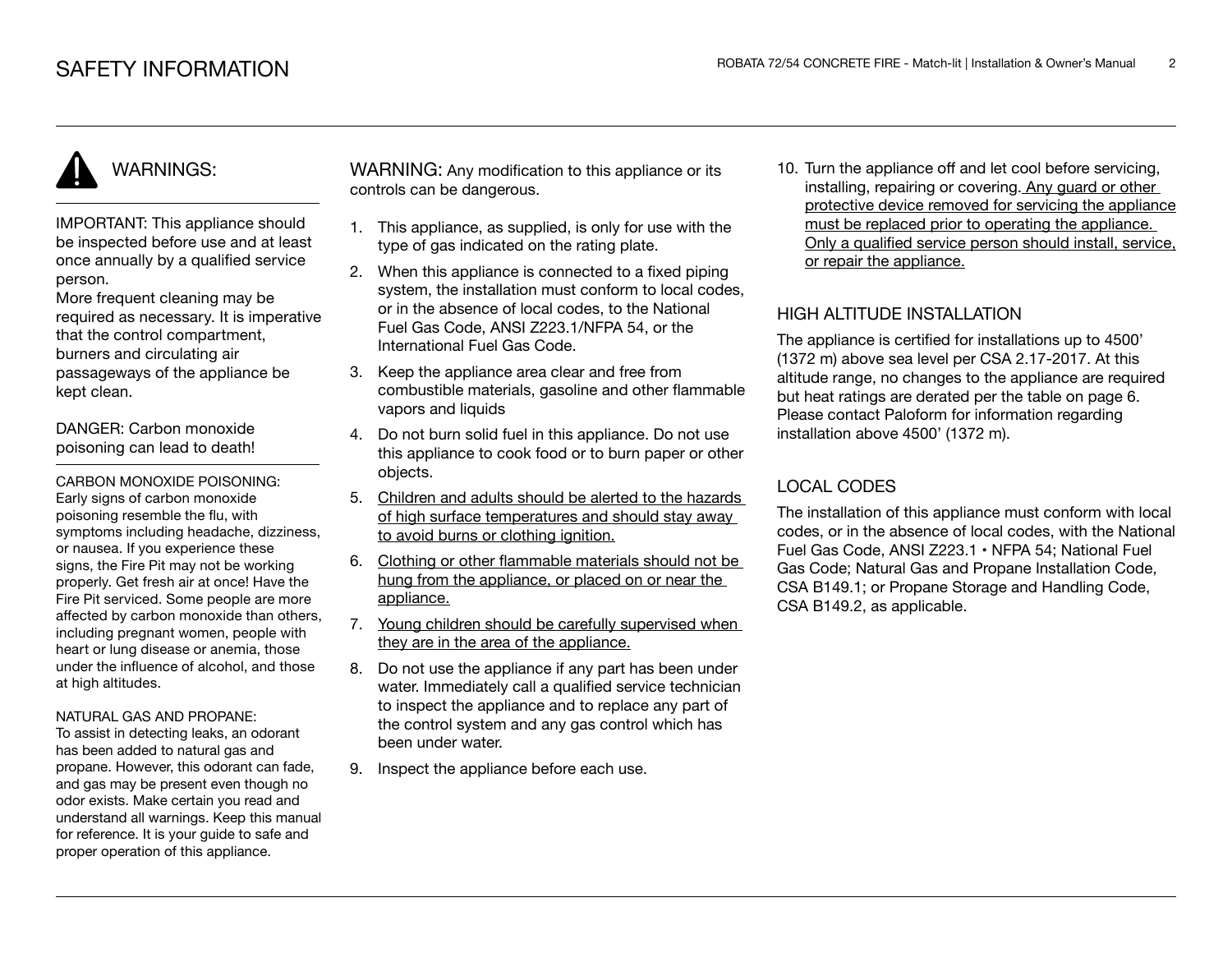# WARNINGS:

IMPORTANT: This appliance should be inspected before use and at least once annually by a qualified service person.

More frequent cleaning may be required as necessary. It is imperative that the control compartment, burners and circulating air passageways of the appliance be kept clean.

DANGER: Carbon monoxide poisoning can lead to death!

CARBON MONOXIDE POISONING: Early signs of carbon monoxide poisoning resemble the flu, with symptoms including headache, dizziness, or nausea. If you experience these signs, the Fire Pit may not be working properly. Get fresh air at once! Have the Fire Pit serviced. Some people are more affected by carbon monoxide than others, including pregnant women, people with heart or lung disease or anemia, those under the influence of alcohol, and those at high altitudes.

#### NATURAL GAS AND PROPANE:

To assist in detecting leaks, an odorant has been added to natural gas and propane. However, this odorant can fade, and gas may be present even though no odor exists. Make certain you read and understand all warnings. Keep this manual for reference. It is your guide to safe and proper operation of this appliance.

WARNING: Any modification to this appliance or its controls can be dangerous.

- 1. This appliance, as supplied, is only for use with the type of gas indicated on the rating plate.
- 2. When this appliance is connected to a fixed piping system, the installation must conform to local codes. or in the absence of local codes, to the National Fuel Gas Code, ANSI Z223.1/NFPA 54, or the International Fuel Gas Code.
- 3. Keep the appliance area clear and free from combustible materials, gasoline and other flammable vapors and liquids
- 4. Do not burn solid fuel in this appliance. Do not use this appliance to cook food or to burn paper or other objects.
- 5. Children and adults should be alerted to the hazards of high surface temperatures and should stay away to avoid burns or clothing ignition.
- 6. Clothing or other flammable materials should not be hung from the appliance, or placed on or near the appliance.
- 7. Young children should be carefully supervised when they are in the area of the appliance.
- 8. Do not use the appliance if any part has been under water. Immediately call a qualified service technician to inspect the appliance and to replace any part of the control system and any gas control which has been under water.
- 9. Inspect the appliance before each use.

10. Turn the appliance off and let cool before servicing, installing, repairing or covering. Any guard or other protective device removed for servicing the appliance must be replaced prior to operating the appliance. Only a qualified service person should install, service, or repair the appliance.

## HIGH ALTITUDE INSTALLATION

The appliance is certified for installations up to 4500' (1372 m) above sea level per CSA 2.17-2017. At this altitude range, no changes to the appliance are required but heat ratings are derated per the table on page 6. Please contact Paloform for information regarding installation above 4500' (1372 m).

## LOCAL CODES

The installation of this appliance must conform with local codes, or in the absence of local codes, with the National Fuel Gas Code, ANSI Z223.1 • NFPA 54; National Fuel Gas Code; Natural Gas and Propane Installation Code, CSA B149.1; or Propane Storage and Handling Code, CSA B149.2, as applicable.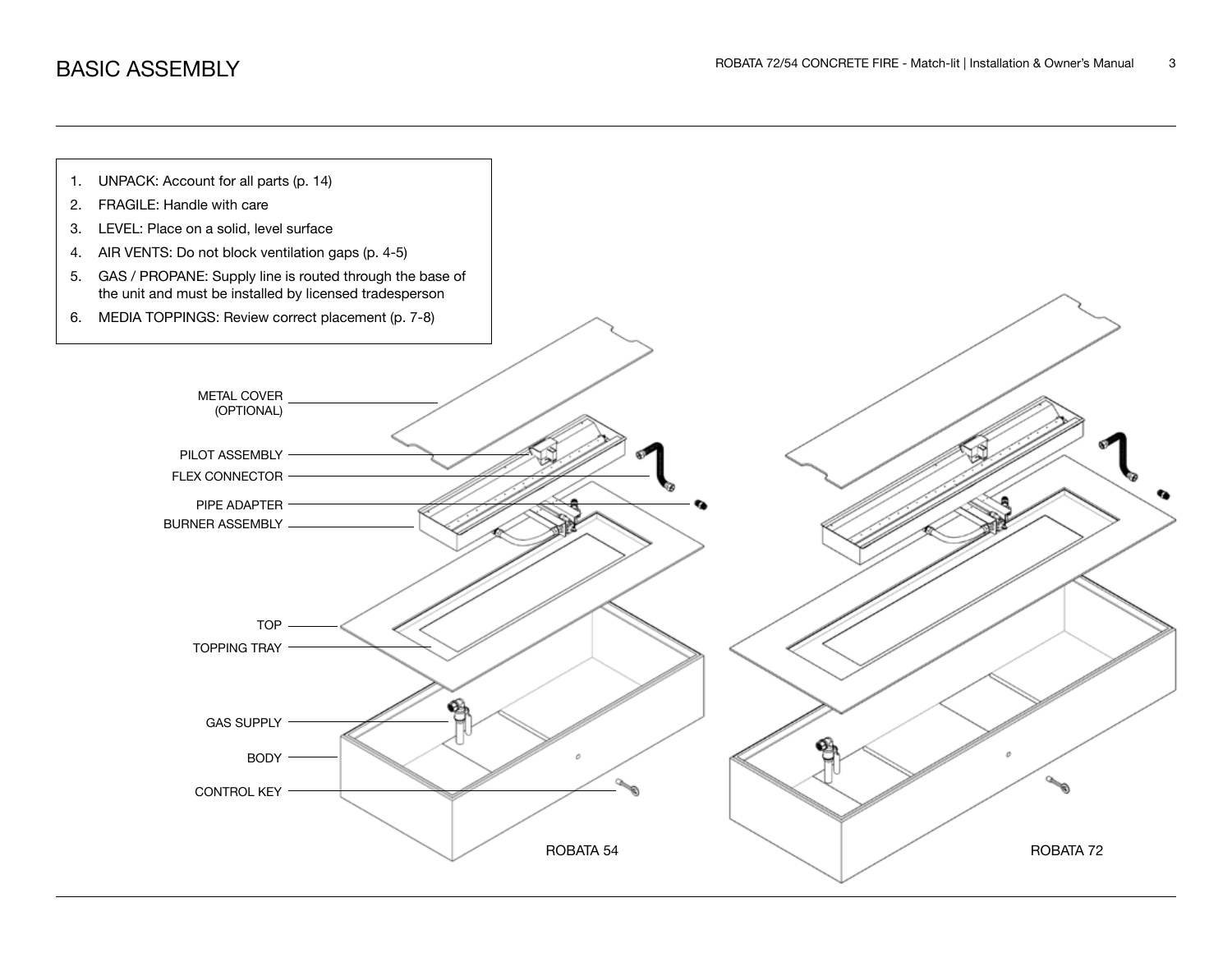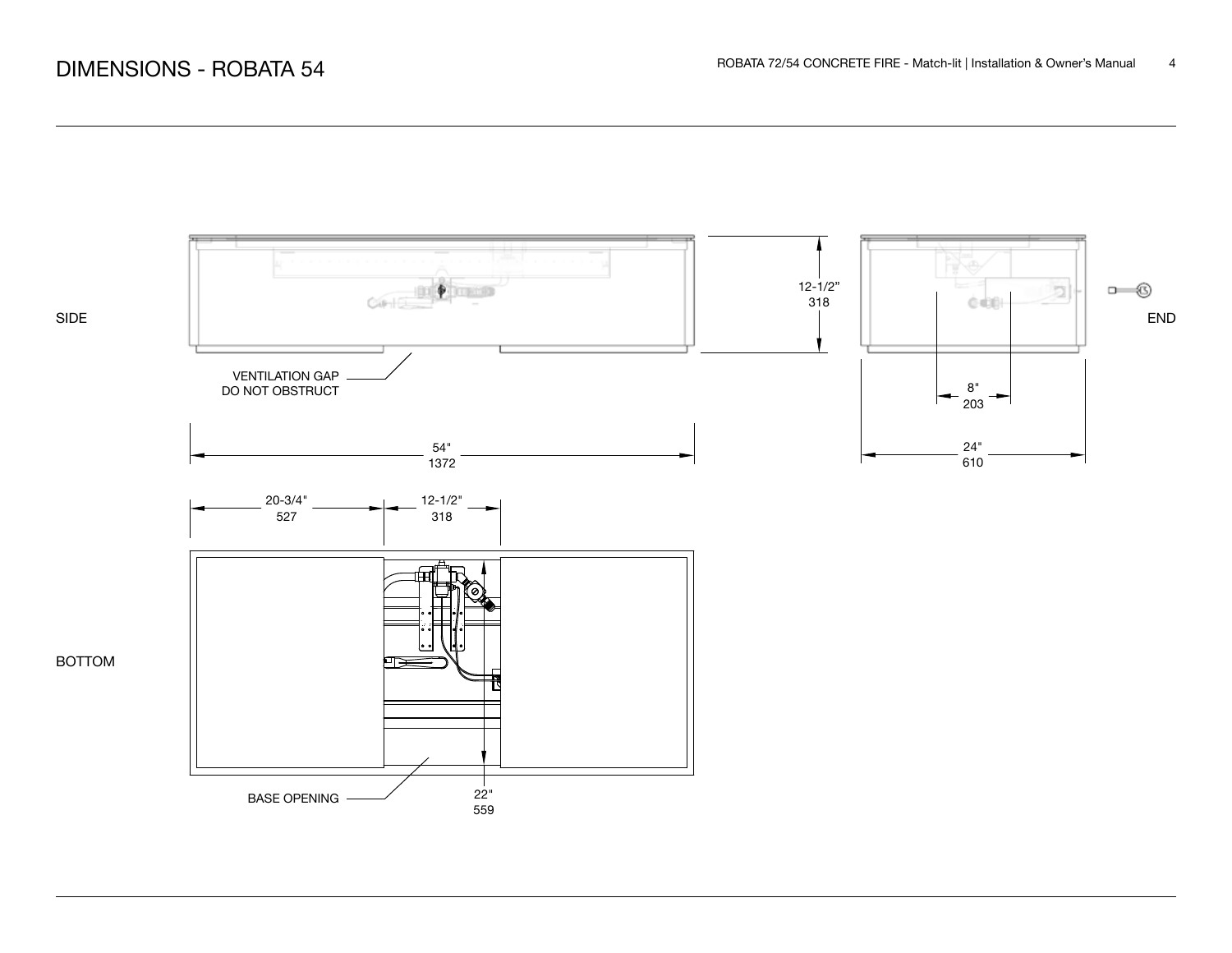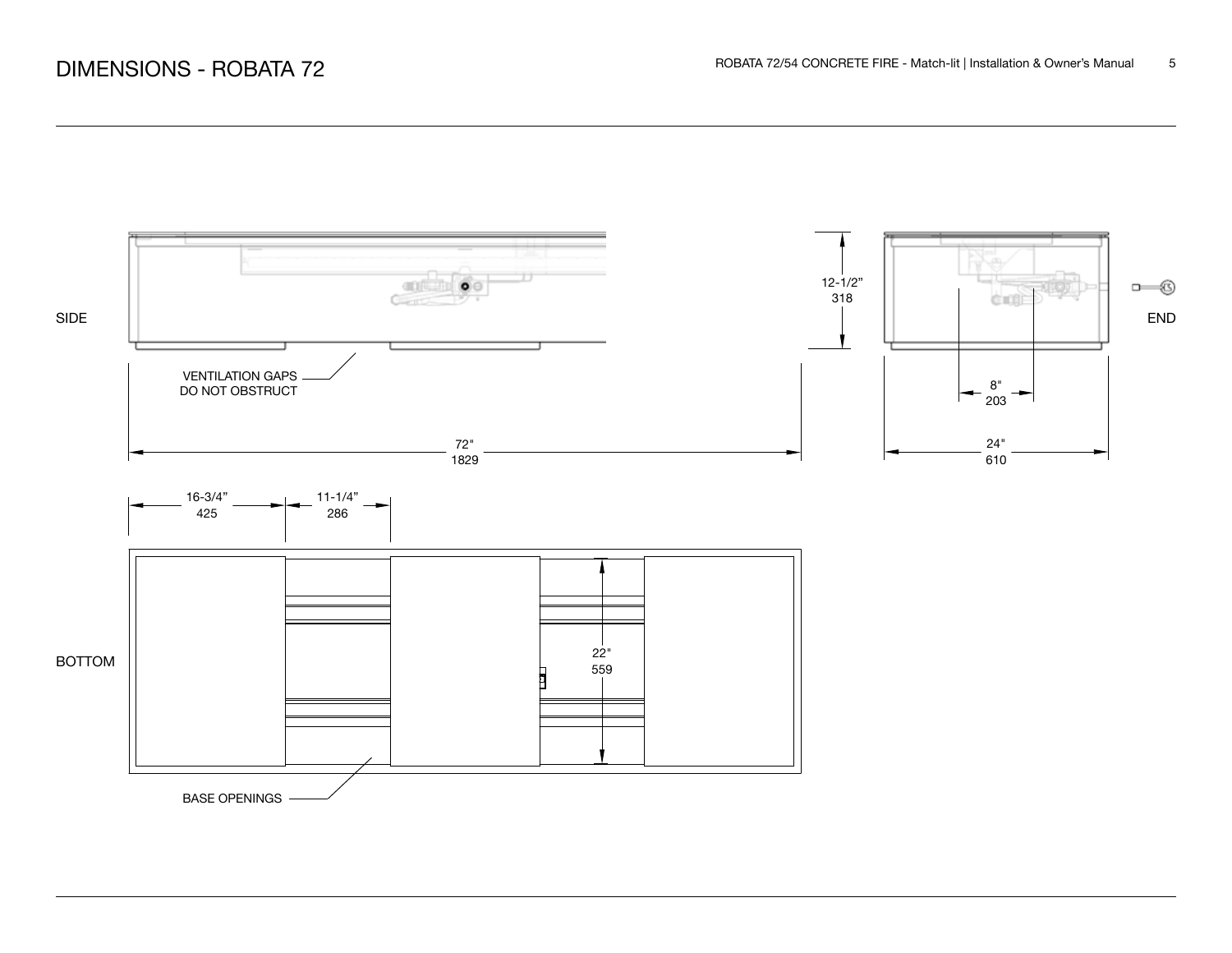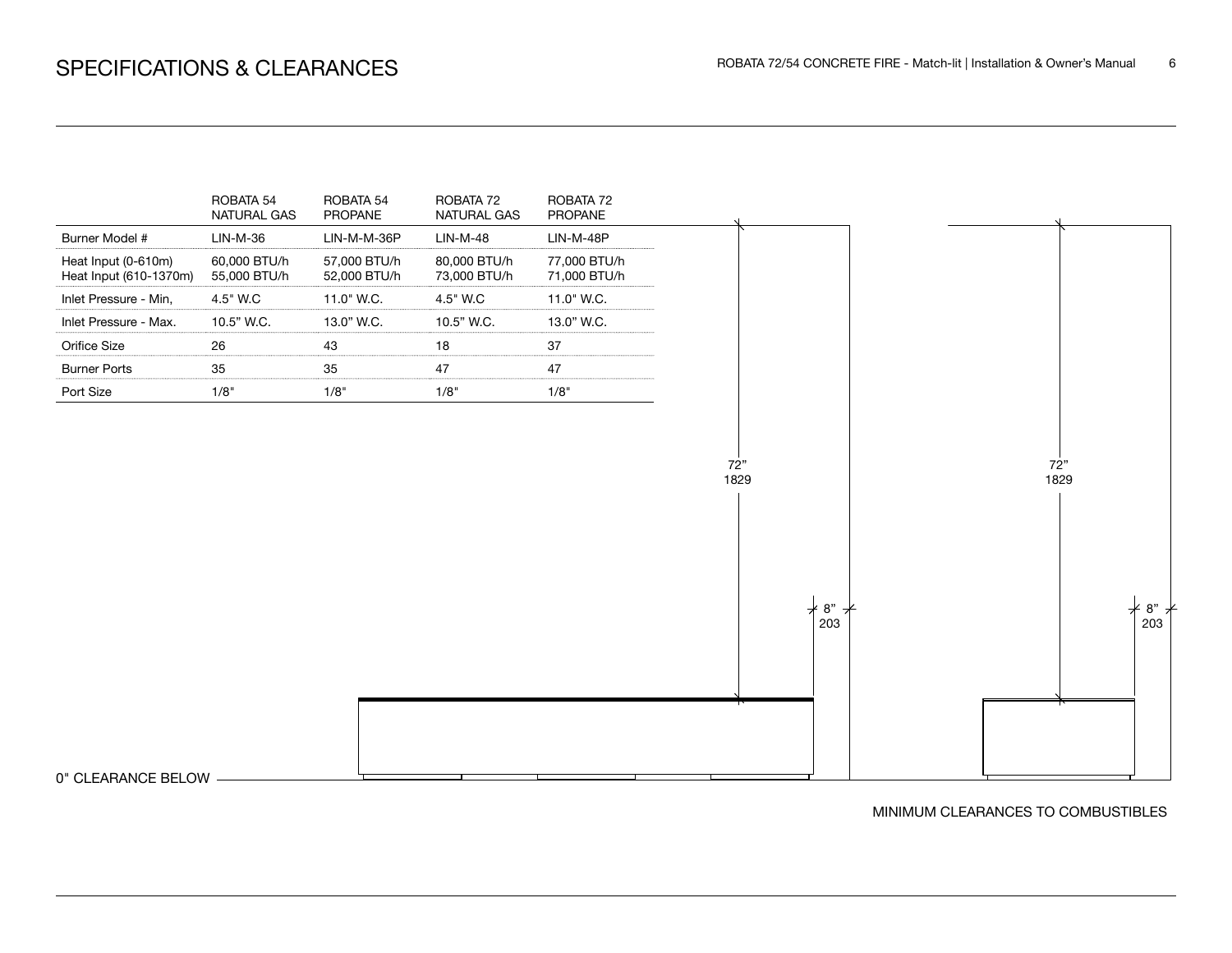

0" CLEARANCE BELOW

MINIMUM CLEARANCES TO COMBUSTIBLES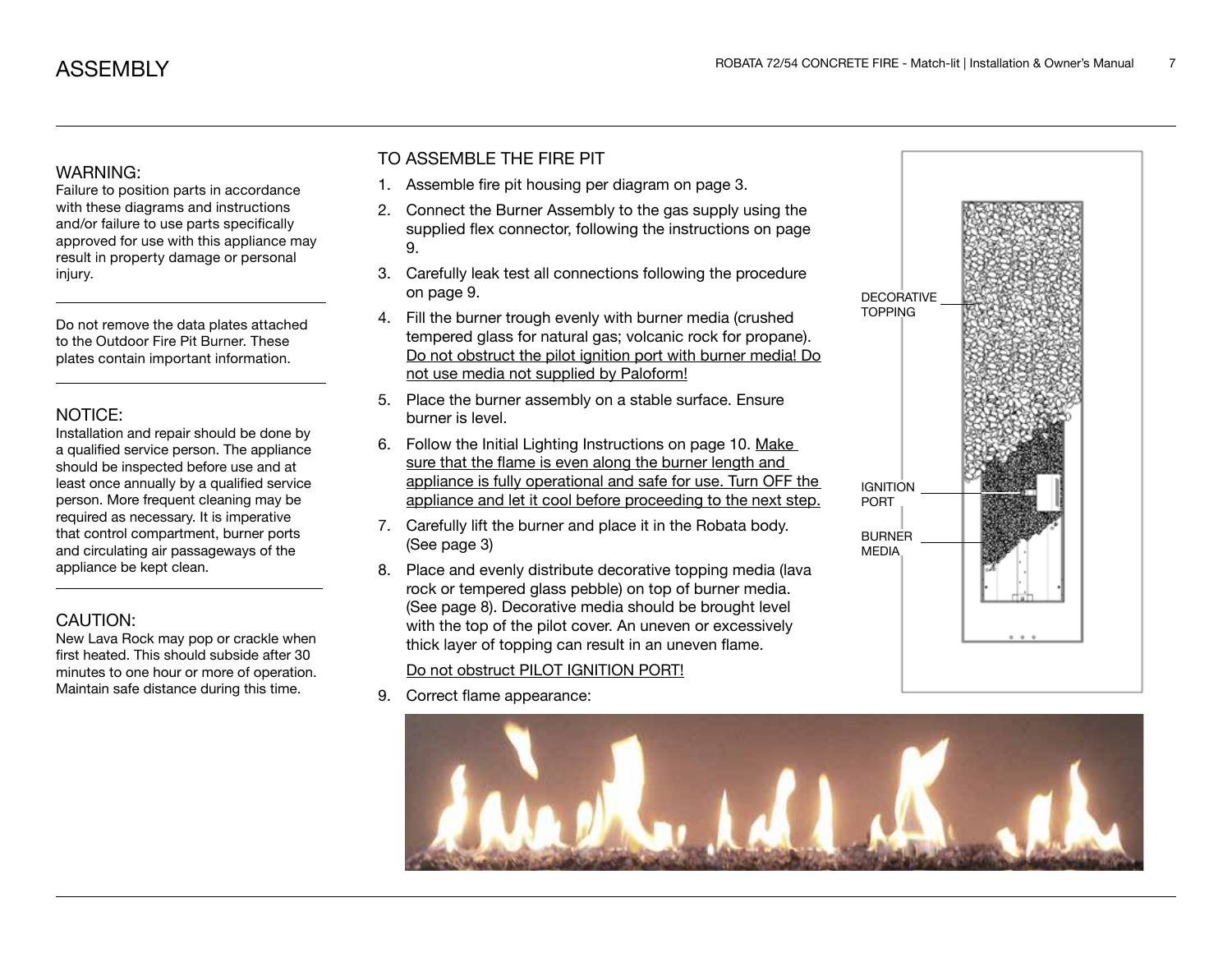### WARNING:

Failure to position parts in accordance with these diagrams and instructions and/or failure to use parts specifically approved for use with this appliance may result in property damage or personal injury.

Do not remove the data plates attached to the Outdoor Fire Pit Burner. These plates contain important information.

## NOTICE:

Installation and repair should be done by a qualified service person. The appliance should be inspected before use and at least once annually by a qualified service person. More frequent cleaning may be required as necessary. It is imperative that control compartment, burner ports and circulating air passageways of the appliance be kept clean.

## CAUTION:

New Lava Rock may pop or crackle when first heated. This should subside after 30 minutes to one hour or more of operation. Maintain safe distance during this time.

## TO ASSEMBLE THE FIRE PIT

- 1. Assemble fire pit housing per diagram on page 3.
- 2. Connect the Burner Assembly to the gas supply using the supplied flex connector, following the instructions on page 9.
- 3. Carefully leak test all connections following the procedure on page 9.
- 4. Fill the burner trough evenly with burner media (crushed tempered glass for natural gas; volcanic rock for propane). Do not obstruct the pilot ignition port with burner media! Do not use media not supplied by Paloform!
- 5. Place the burner assembly on a stable surface. Ensure burner is level.
- 6. Follow the Initial Lighting Instructions on page 10. Make sure that the flame is even along the burner length and appliance is fully operational and safe for use. Turn OFF the appliance and let it cool before proceeding to the next step.
- 7. Carefully lift the burner and place it in the Robata body. (See page 3)
- 8. Place and evenly distribute decorative topping media (lava rock or tempered glass pebble) on top of burner media. (See page 8). Decorative media should be brought level with the top of the pilot cover. An uneven or excessively thick layer of topping can result in an uneven flame.

## Do not obstruct PILOT IGNITION PORT!

9. Correct flame appearance:



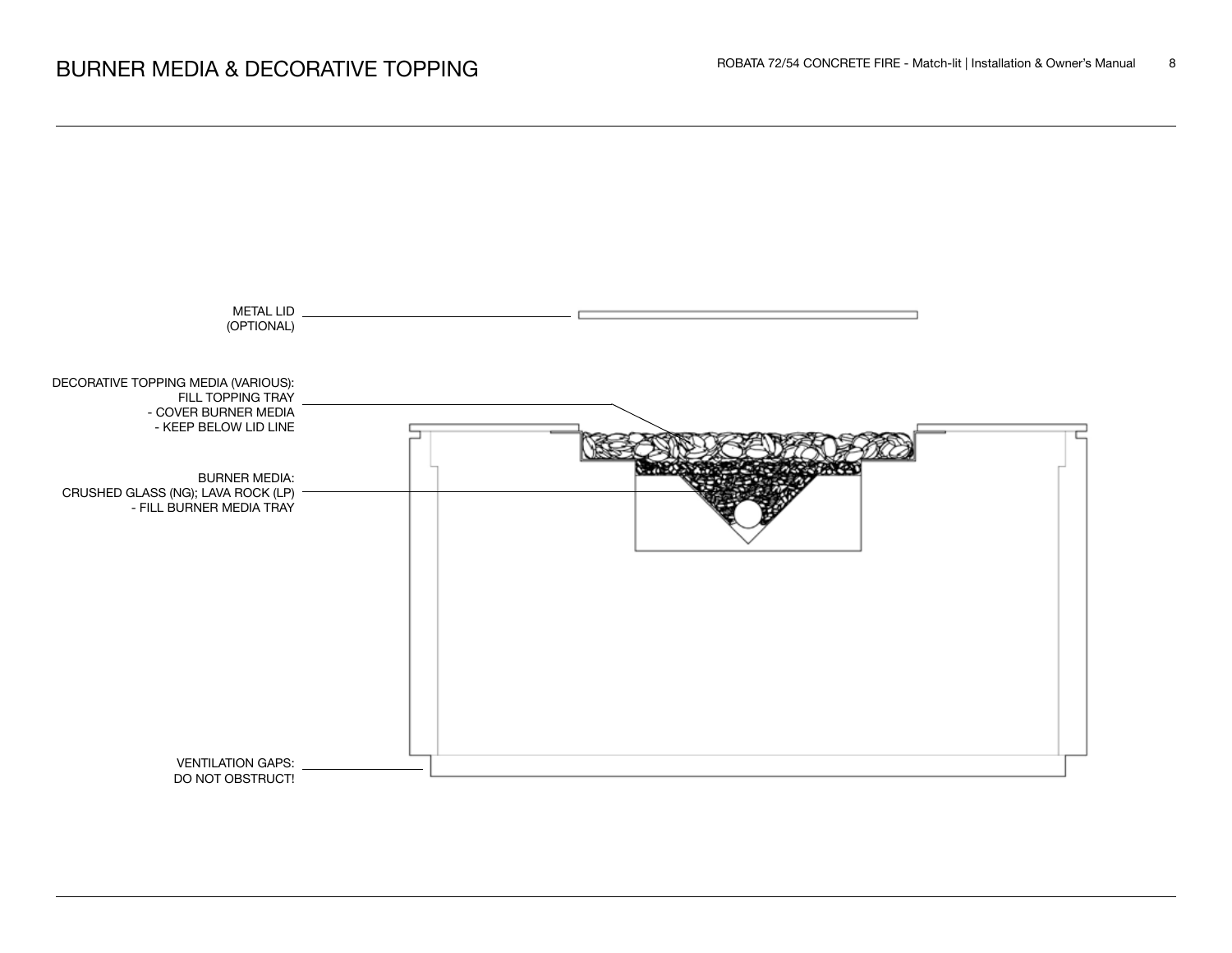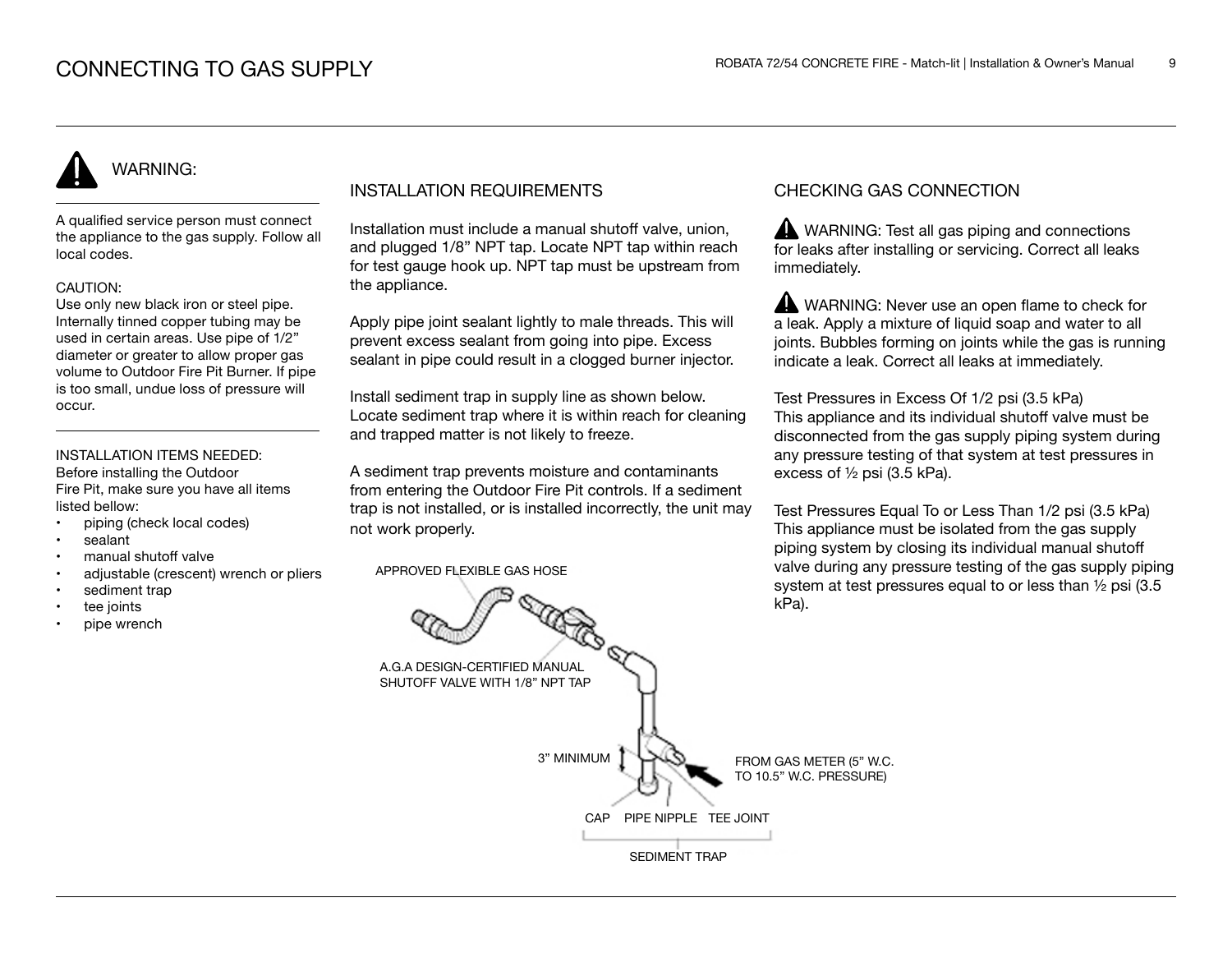# WARNING:

A qualified service person must connect the appliance to the gas supply. Follow all local codes.

#### CAUTION:

Use only new black iron or steel pipe. Internally tinned copper tubing may be used in certain areas. Use pipe of 1/2" diameter or greater to allow proper gas volume to Outdoor Fire Pit Burner. If pipe is too small, undue loss of pressure will occur.

#### INSTALLATION ITEMS NEEDED: Before installing the Outdoor

Fire Pit, make sure you have all items listed bellow:

- piping (check local codes)
- sealant
- manual shutoff valve
- adjustable (crescent) wrench or pliers
- sediment trap
- tee joints
- pipe wrench

## INSTALLATION REQUIREMENTS

Installation must include a manual shutoff valve, union, and plugged 1/8" NPT tap. Locate NPT tap within reach for test gauge hook up. NPT tap must be upstream from the appliance.

Apply pipe joint sealant lightly to male threads. This will prevent excess sealant from going into pipe. Excess sealant in pipe could result in a clogged burner injector.

Install sediment trap in supply line as shown below. Locate sediment trap where it is within reach for cleaning and trapped matter is not likely to freeze.

A sediment trap prevents moisture and contaminants from entering the Outdoor Fire Pit controls. If a sediment trap is not installed, or is installed incorrectly, the unit may not work properly.

APPROVED FLEXIBLE GAS HOSE

## CHECKING GAS CONNECTION

WARNING: Test all gas piping and connections for leaks after installing or servicing. Correct all leaks immediately.

WARNING: Never use an open flame to check for a leak. Apply a mixture of liquid soap and water to all joints. Bubbles forming on joints while the gas is running indicate a leak. Correct all leaks at immediately.

Test Pressures in Excess Of 1/2 psi (3.5 kPa) This appliance and its individual shutoff valve must be disconnected from the gas supply piping system during any pressure testing of that system at test pressures in excess of ½ psi (3.5 kPa).

Test Pressures Equal To or Less Than 1/2 psi (3.5 kPa) This appliance must be isolated from the gas supply piping system by closing its individual manual shutoff valve during any pressure testing of the gas supply piping system at test pressures equal to or less than ½ psi (3.5 kPa).

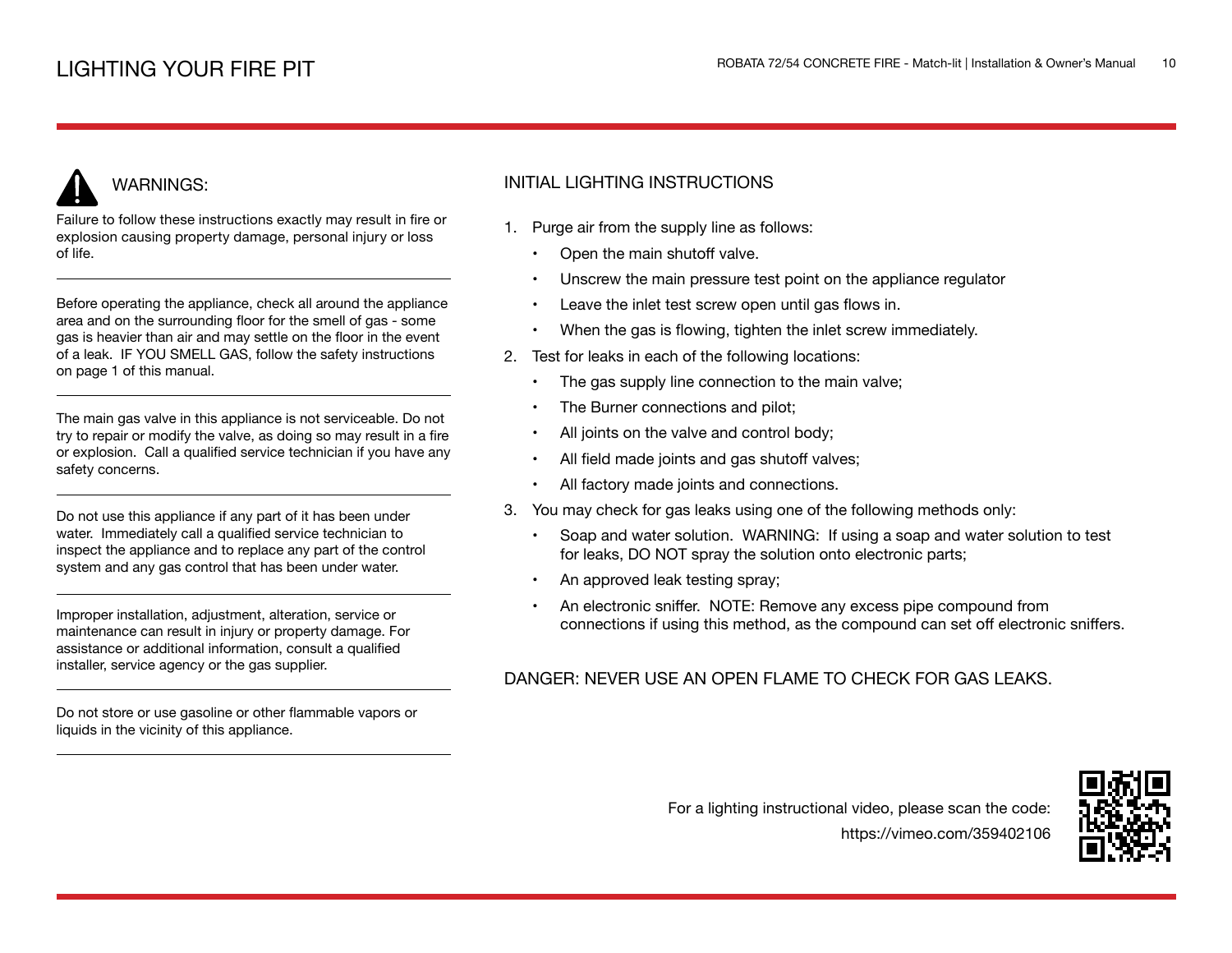# WARNINGS:

Failure to follow these instructions exactly may result in fire or explosion causing property damage, personal injury or loss of life.

Before operating the appliance, check all around the appliance area and on the surrounding floor for the smell of gas - some gas is heavier than air and may settle on the floor in the event of a leak. IF YOU SMELL GAS, follow the safety instructions on page 1 of this manual.

The main gas valve in this appliance is not serviceable. Do not try to repair or modify the valve, as doing so may result in a fire or explosion. Call a qualified service technician if you have any safety concerns.

Do not use this appliance if any part of it has been under water. Immediately call a qualified service technician to inspect the appliance and to replace any part of the control system and any gas control that has been under water.

Improper installation, adjustment, alteration, service or maintenance can result in injury or property damage. For assistance or additional information, consult a qualified installer, service agency or the gas supplier.

Do not store or use gasoline or other flammable vapors or liquids in the vicinity of this appliance.

## INITIAL LIGHTING INSTRUCTIONS

- 1. Purge air from the supply line as follows:
	- Open the main shutoff valve.
	- Unscrew the main pressure test point on the appliance regulator
	- Leave the inlet test screw open until gas flows in.
	- When the gas is flowing, tighten the inlet screw immediately.
- 2. Test for leaks in each of the following locations:
	- The gas supply line connection to the main valve;
	- The Burner connections and pilot;
	- All joints on the valve and control body;
	- All field made joints and gas shutoff valves;
	- All factory made joints and connections.
- 3. You may check for gas leaks using one of the following methods only:
	- Soap and water solution. WARNING: If using a soap and water solution to test for leaks, DO NOT spray the solution onto electronic parts;
	- An approved leak testing spray;
	- An electronic sniffer. NOTE: Remove any excess pipe compound from connections if using this method, as the compound can set off electronic sniffers.

## DANGER: NEVER USE AN OPEN FLAME TO CHECK FOR GAS LEAKS.

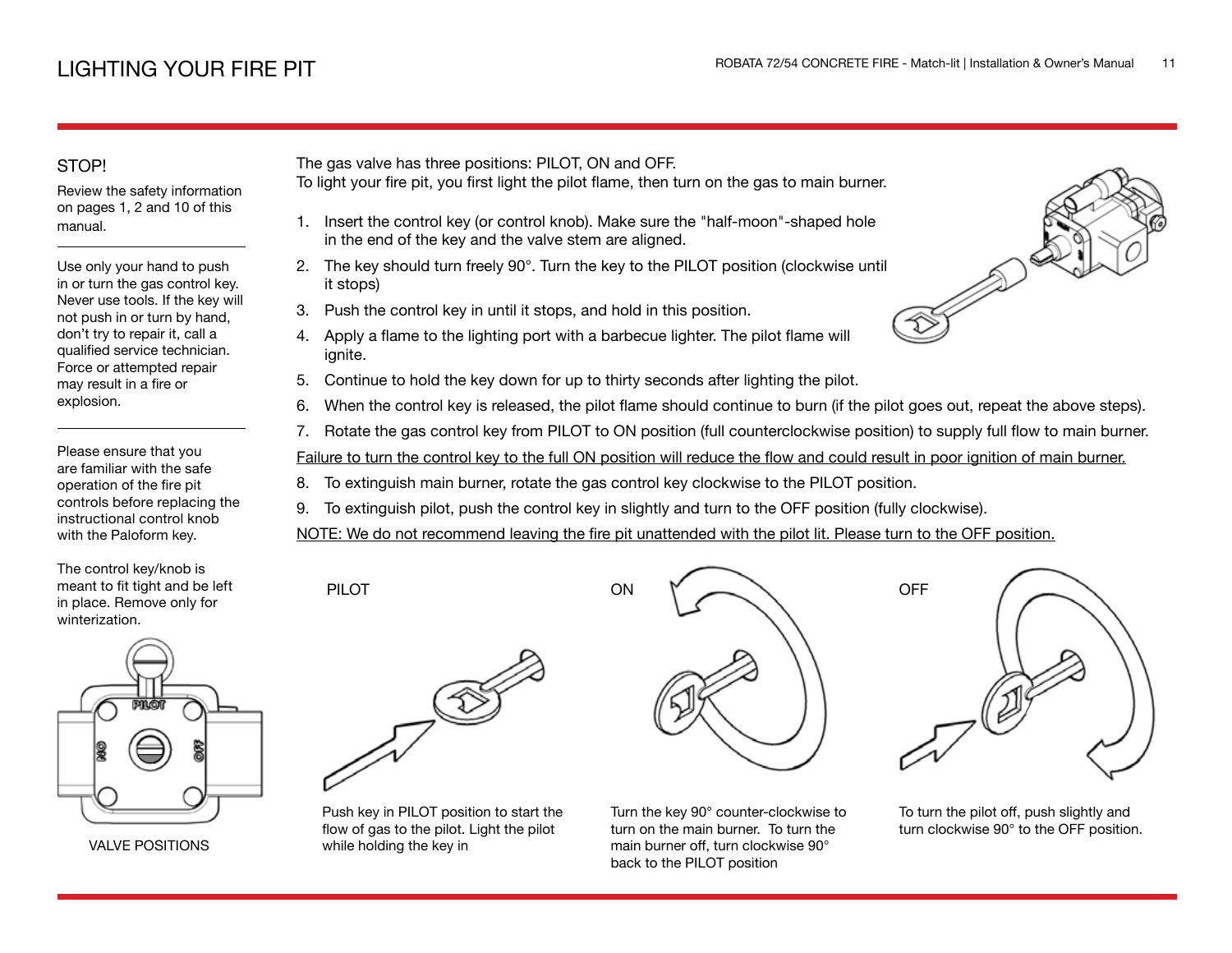## STOP!

Review the safety information on pages 1, 2 and 10 of this manual.

Use only your hand to push in or turn the gas control key. Never use tools. If the key will not push in or turn by hand, don't try to repair it, call a qualified service technician. Force or attempted repair may result in a fire or explosion.

Please ensure that you are familiar with the safe operation of the fire pit controls before replacing the instructional control knob with the Paloform key.

The control key/knob is meant to fit tight and be left in place. Remove only for winterization.



VALVE POSITIONS

The gas valve has three positions: PILOT, ON and OFF.

- To light your fire pit, you first light the pilot flame, then turn on the gas to main burner.
	- 1. Insert the control key (or control knob). Make sure the "half-moon"-shaped hole in the end of the key and the valve stem are aligned.
- 2. The key should turn freely 90°. Turn the key to the PILOT position (clockwise until it stops)
- 3. Push the control key in until it stops, and hold in this position.
- 4. Apply a flame to the lighting port with a barbecue lighter. The pilot flame will ignite.
- 5. Continue to hold the key down for up to thirty seconds after lighting the pilot.
- 6. When the control key is released, the pilot flame should continue to burn (if the pilot goes out, repeat the above steps).
- 7. Rotate the gas control key from PILOT to ON position (full counterclockwise position) to supply full flow to main burner.

Failure to turn the control key to the full ON position will reduce the flow and could result in poor ignition of main burner.

- 8. To extinguish main burner, rotate the gas control key clockwise to the PILOT position.
- 9. To extinguish pilot, push the control key in slightly and turn to the OFF position (fully clockwise).

ON

NOTE: We do not recommend leaving the fire pit unattended with the pilot lit. Please turn to the OFF position.



PILOT

Push key in PILOT position to start the flow of gas to the pilot. Light the pilot while holding the key in

Turn the key 90° counter-clockwise to turn on the main burner. To turn the main burner off, turn clockwise 90° back to the PILOT position



To turn the pilot off, push slightly and turn clockwise 90° to the OFF position.

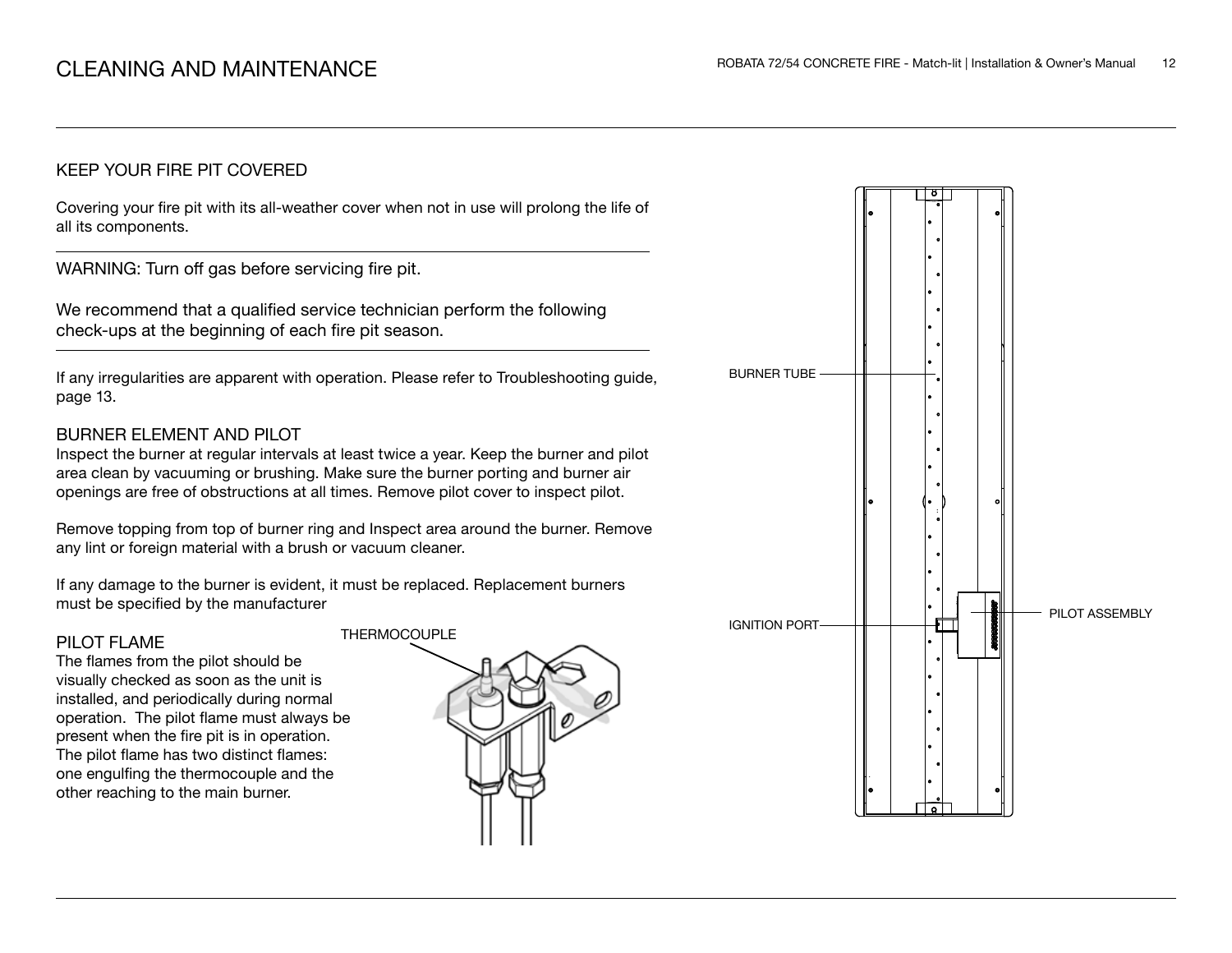## KEEP YOUR FIRE PIT COVERED

Covering your fire pit with its all-weather cover when not in use will prolong the life of all its components.

WARNING: Turn off gas before servicing fire pit.

We recommend that a qualified service technician perform the following check-ups at the beginning of each fire pit season.

If any irregularities are apparent with operation. Please refer to Troubleshooting guide, page 13.

## BURNER ELEMENT AND PILOT

Inspect the burner at regular intervals at least twice a year. Keep the burner and pilot area clean by vacuuming or brushing. Make sure the burner porting and burner air openings are free of obstructions at all times. Remove pilot cover to inspect pilot.

Remove topping from top of burner ring and Inspect area around the burner. Remove any lint or foreign material with a brush or vacuum cleaner.

If any damage to the burner is evident, it must be replaced. Replacement burners must be specified by the manufacturer

#### PILOT FLAME

The flames from the pilot should be visually checked as soon as the unit is installed, and periodically during normal operation. The pilot flame must always be present when the fire pit is in operation. The pilot flame has two distinct flames: one engulfing the thermocouple and the other reaching to the main burner.



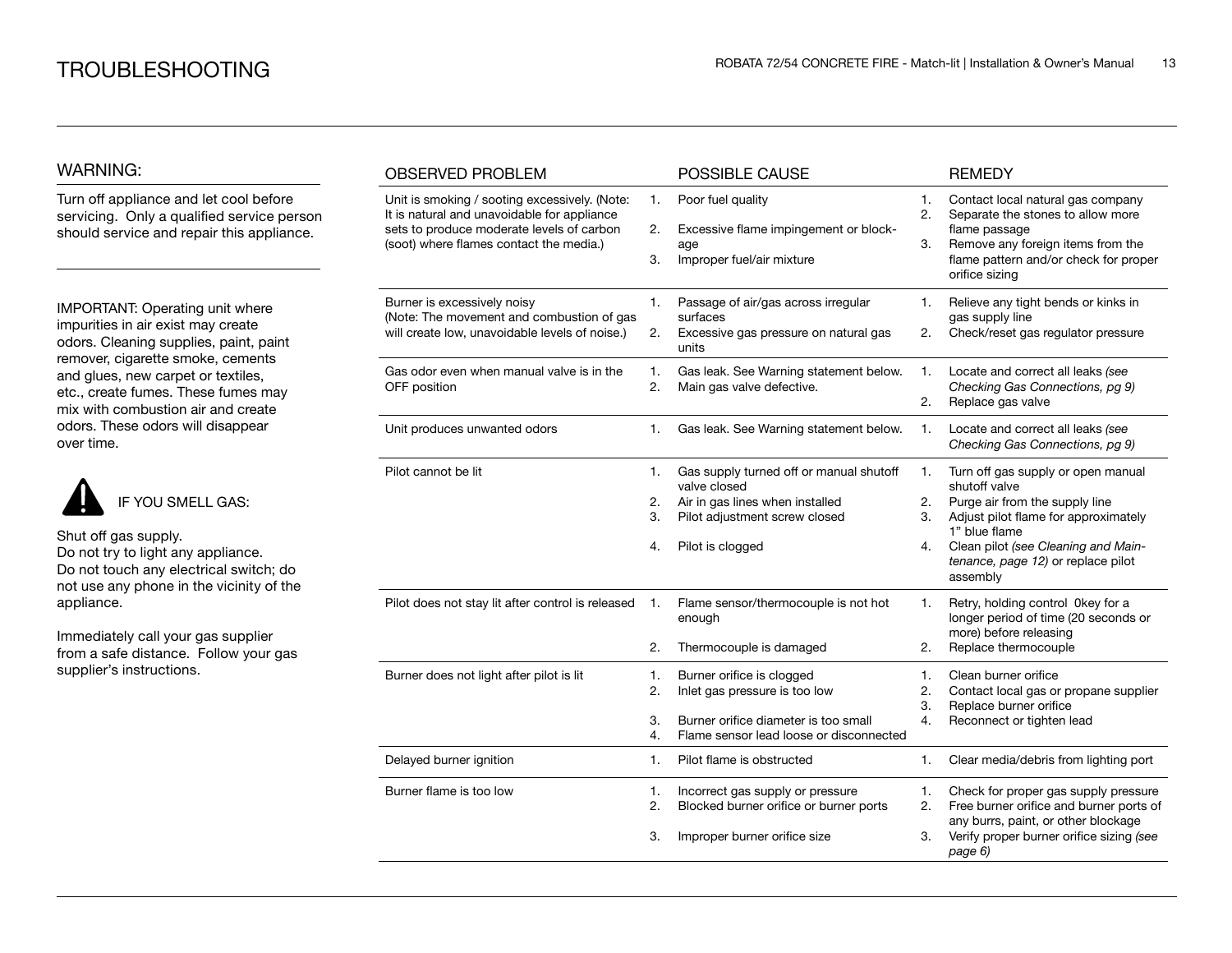## WARNING:

Turn off appliance and let cool before servicing. Only a qualified service person should service and repair this appliance.

IMPORTANT: Operating unit where impurities in air exist may create odors. Cleaning supplies, paint, paint remover, cigarette smoke, cements and glues, new carpet or textiles, etc., create fumes. These fumes may mix with combustion air and create odors. These odors will disappear over time.



Shut off gas supply. Do not try to light any appliance. Do not touch any electrical switch; do not use any phone in the vicinity of the appliance.

Immediately call your gas supplier from a safe distance. Follow your gas supplier's instructions.

| <b>OBSERVED PROBLEM</b>                                                                                                                                                              |                      | POSSIBLE CAUSE                                                                                                                                  |                      | <b>REMEDY</b>                                                                                                                                                                                                                           |
|--------------------------------------------------------------------------------------------------------------------------------------------------------------------------------------|----------------------|-------------------------------------------------------------------------------------------------------------------------------------------------|----------------------|-----------------------------------------------------------------------------------------------------------------------------------------------------------------------------------------------------------------------------------------|
| Unit is smoking / sooting excessively. (Note:<br>It is natural and unavoidable for appliance<br>sets to produce moderate levels of carbon<br>(soot) where flames contact the media.) | 1.<br>2.<br>3.       | Poor fuel quality<br>Excessive flame impingement or block-<br>age<br>Improper fuel/air mixture                                                  | 1.<br>2.<br>3.       | Contact local natural gas company<br>Separate the stones to allow more<br>flame passage<br>Remove any foreign items from the<br>flame pattern and/or check for proper<br>orifice sizing                                                 |
| Burner is excessively noisy<br>(Note: The movement and combustion of gas<br>will create low, unavoidable levels of noise.)                                                           | 1.<br>2.             | Passage of air/gas across irregular<br>surfaces<br>Excessive gas pressure on natural gas<br>units                                               | 1.<br>2.             | Relieve any tight bends or kinks in<br>gas supply line<br>Check/reset gas regulator pressure                                                                                                                                            |
| Gas odor even when manual valve is in the<br>OFF position                                                                                                                            | 1.<br>2.             | Gas leak. See Warning statement below.<br>Main gas valve defective.                                                                             | 1.<br>2.             | Locate and correct all leaks (see<br>Checking Gas Connections, pg 9)<br>Replace gas valve                                                                                                                                               |
| Unit produces unwanted odors                                                                                                                                                         | 1.                   | Gas leak. See Warning statement below.                                                                                                          | 1.                   | Locate and correct all leaks (see<br>Checking Gas Connections, pg 9)                                                                                                                                                                    |
| Pilot cannot be lit                                                                                                                                                                  | 1.<br>2.<br>3.<br>4. | Gas supply turned off or manual shutoff<br>valve closed<br>Air in gas lines when installed<br>Pilot adjustment screw closed<br>Pilot is clogged | 1.<br>2.<br>3.<br>4. | Turn off gas supply or open manual<br>shutoff valve<br>Purge air from the supply line<br>Adjust pilot flame for approximately<br>1" blue flame<br>Clean pilot (see Cleaning and Main-<br>tenance, page 12) or replace pilot<br>assembly |
| Pilot does not stay lit after control is released                                                                                                                                    | 1.<br>2.             | Flame sensor/thermocouple is not hot<br>enough<br>Thermocouple is damaged                                                                       | 1.<br>2.             | Retry, holding control 0key for a<br>longer period of time (20 seconds or<br>more) before releasing<br>Replace thermocouple                                                                                                             |
| Burner does not light after pilot is lit                                                                                                                                             | 1.<br>2.<br>3.<br>4. | Burner orifice is clogged<br>Inlet gas pressure is too low<br>Burner orifice diameter is too small<br>Flame sensor lead loose or disconnected   | 1.<br>2.<br>3.<br>4. | Clean burner orifice<br>Contact local gas or propane supplier<br>Replace burner orifice<br>Reconnect or tighten lead                                                                                                                    |
| Delayed burner ignition                                                                                                                                                              | 1.                   | Pilot flame is obstructed                                                                                                                       | 1.                   | Clear media/debris from lighting port                                                                                                                                                                                                   |
| Burner flame is too low                                                                                                                                                              | 1.<br>2.<br>3.       | Incorrect gas supply or pressure<br>Blocked burner orifice or burner ports<br>Improper burner orifice size                                      | 1.<br>2.<br>3.       | Check for proper gas supply pressure<br>Free burner orifice and burner ports of<br>any burrs, paint, or other blockage<br>Verify proper burner orifice sizing (see<br>page 6)                                                           |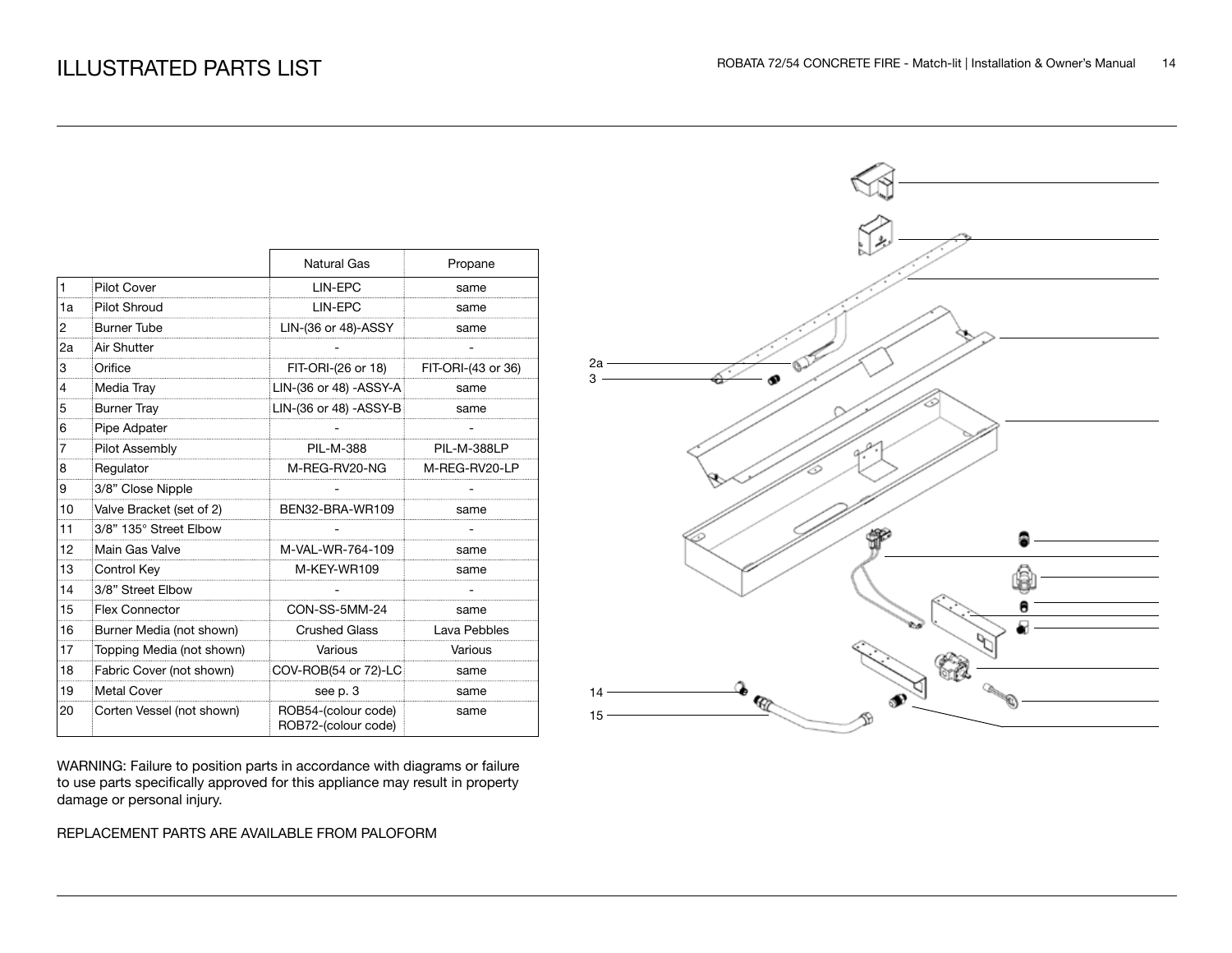|                |                           | <b>Natural Gas</b>                         | Propane            |
|----------------|---------------------------|--------------------------------------------|--------------------|
| $\vert$ 1      | <b>Pilot Cover</b>        | LIN-EPC                                    | same               |
| 1a             | <b>Pilot Shroud</b>       | LIN-EPC                                    | same               |
| 2              | <b>Burner Tube</b>        | LIN-(36 or 48)-ASSY                        | same               |
| 2a             | Air Shutter               |                                            |                    |
| 3              | Orifice                   | FIT-ORI-(26 or 18)                         | FIT-ORI-(43 or 36) |
| $\overline{4}$ | Media Tray                | LIN-(36 or 48) - ASSY-A                    | same               |
| 5              | <b>Burner Tray</b>        | LIN-(36 or 48) - ASSY-B                    | same               |
| 6              | Pipe Adpater              |                                            |                    |
| 7              | Pilot Assembly            | <b>PIL-M-388</b>                           | PIL-M-388LP        |
| 8              | Regulator                 | M-REG-RV20-NG                              | M-REG-RV20-LP      |
| 9              | 3/8" Close Nipple         |                                            |                    |
| 10             | Valve Bracket (set of 2)  | BEN32-BRA-WR109                            | same               |
| 11             | 3/8" 135° Street Elbow    |                                            |                    |
| 12             | Main Gas Valve            | M-VAL-WR-764-109                           | same               |
| 13             | Control Key               | M-KEY-WR109                                | same               |
| 14             | 3/8" Street Elbow         |                                            |                    |
| 15             | <b>Flex Connector</b>     | CON-SS-5MM-24                              | same               |
| 16             | Burner Media (not shown)  | <b>Crushed Glass</b>                       | Lava Pebbles       |
| 17             | Topping Media (not shown) | Various                                    | Various            |
| 18             | Fabric Cover (not shown)  | COV-ROB(54 or 72)-LC                       | same               |
| 19             | <b>Metal Cover</b>        | see p. 3                                   | same               |
| 20             | Corten Vessel (not shown) | ROB54-(colour code)<br>ROB72-(colour code) | same               |

WARNING: Failure to position parts in accordance with diagrams or failure to use parts specifically approved for this appliance may result in property damage or personal injury.

### REPLACEMENT PARTS ARE AVAILABLE FROM PALOFORM